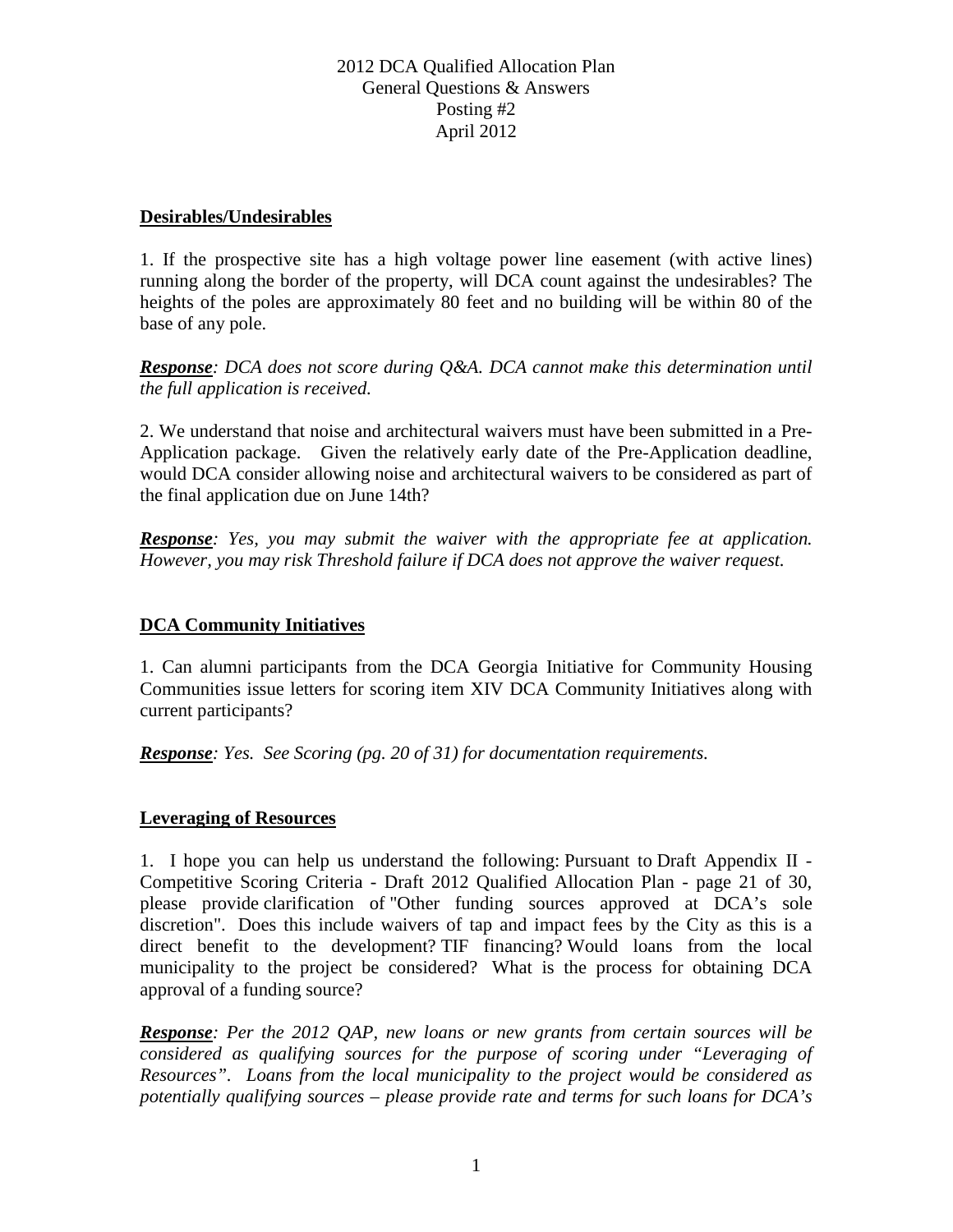#### **Desirables/Undesirables**

1. If the prospective site has a high voltage power line easement (with active lines) running along the border of the property, will DCA count against the undesirables? The heights of the poles are approximately 80 feet and no building will be within 80 of the base of any pole.

*Response: DCA does not score during Q&A. DCA cannot make this determination until the full application is received.*

2. We understand that noise and architectural waivers must have been submitted in a Pre-Application package. Given the relatively early date of the Pre-Application deadline, would DCA consider allowing noise and architectural waivers to be considered as part of the final application due on June 14th?

*Response: Yes, you may submit the waiver with the appropriate fee at application. However, you may risk Threshold failure if DCA does not approve the waiver request.*

# **DCA Community Initiatives**

1. Can alumni participants from the DCA Georgia Initiative for Community Housing Communities issue letters for scoring item XIV DCA Community Initiatives along with current participants?

*Response: Yes. See Scoring (pg. 20 of 31) for documentation requirements.* 

# **Leveraging of Resources**

1. I hope you can help us understand the following: Pursuant to Draft Appendix II - Competitive Scoring Criteria - Draft 2012 Qualified Allocation Plan - page 21 of 30, please provide clarification of "Other funding sources approved at DCA's sole discretion". Does this include waivers of tap and impact fees by the City as this is a direct benefit to the development? TIF financing? Would loans from the local municipality to the project be considered? What is the process for obtaining DCA approval of a funding source?

*Response: Per the 2012 QAP, new loans or new grants from certain sources will be considered as qualifying sources for the purpose of scoring under "Leveraging of Resources". Loans from the local municipality to the project would be considered as potentially qualifying sources – please provide rate and terms for such loans for DCA's*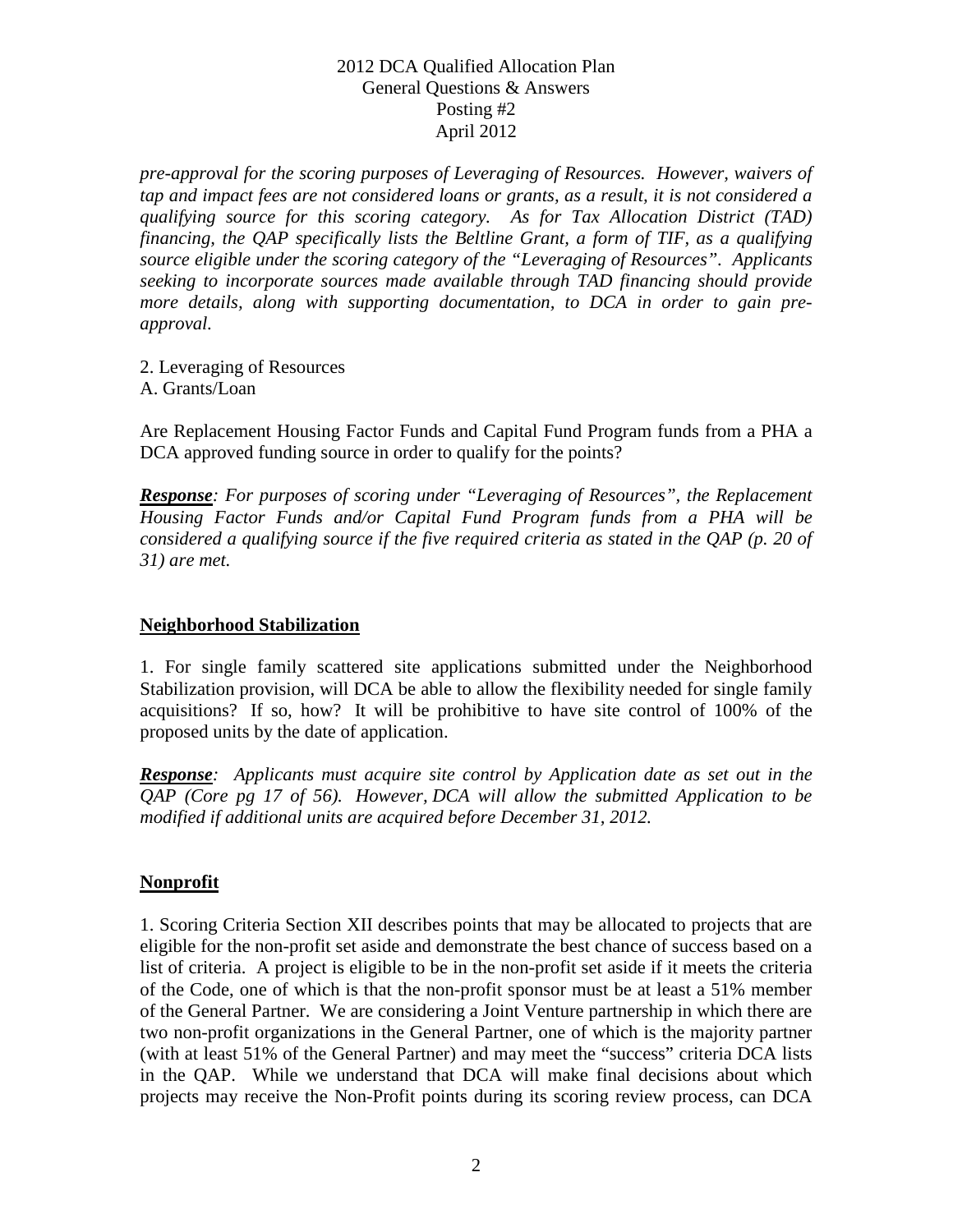*pre-approval for the scoring purposes of Leveraging of Resources. However, waivers of tap and impact fees are not considered loans or grants, as a result, it is not considered a qualifying source for this scoring category. As for Tax Allocation District (TAD) financing, the QAP specifically lists the Beltline Grant, a form of TIF, as a qualifying source eligible under the scoring category of the "Leveraging of Resources". Applicants seeking to incorporate sources made available through TAD financing should provide more details, along with supporting documentation, to DCA in order to gain preapproval.*

2. Leveraging of Resources A. Grants/Loan

Are Replacement Housing Factor Funds and Capital Fund Program funds from a PHA a DCA approved funding source in order to qualify for the points?

*Response: For purposes of scoring under "Leveraging of Resources", the Replacement Housing Factor Funds and/or Capital Fund Program funds from a PHA will be considered a qualifying source if the five required criteria as stated in the QAP (p. 20 of 31) are met.*

# **Neighborhood Stabilization**

1. For single family scattered site applications submitted under the Neighborhood Stabilization provision, will DCA be able to allow the flexibility needed for single family acquisitions? If so, how? It will be prohibitive to have site control of 100% of the proposed units by the date of application.

*Response: Applicants must acquire site control by Application date as set out in the QAP (Core pg 17 of 56). However, DCA will allow the submitted Application to be modified if additional units are acquired before December 31, 2012.*

# **Nonprofit**

1. Scoring Criteria Section XII describes points that may be allocated to projects that are eligible for the non-profit set aside and demonstrate the best chance of success based on a list of criteria. A project is eligible to be in the non-profit set aside if it meets the criteria of the Code, one of which is that the non-profit sponsor must be at least a 51% member of the General Partner. We are considering a Joint Venture partnership in which there are two non-profit organizations in the General Partner, one of which is the majority partner (with at least 51% of the General Partner) and may meet the "success" criteria DCA lists in the QAP. While we understand that DCA will make final decisions about which projects may receive the Non-Profit points during its scoring review process, can DCA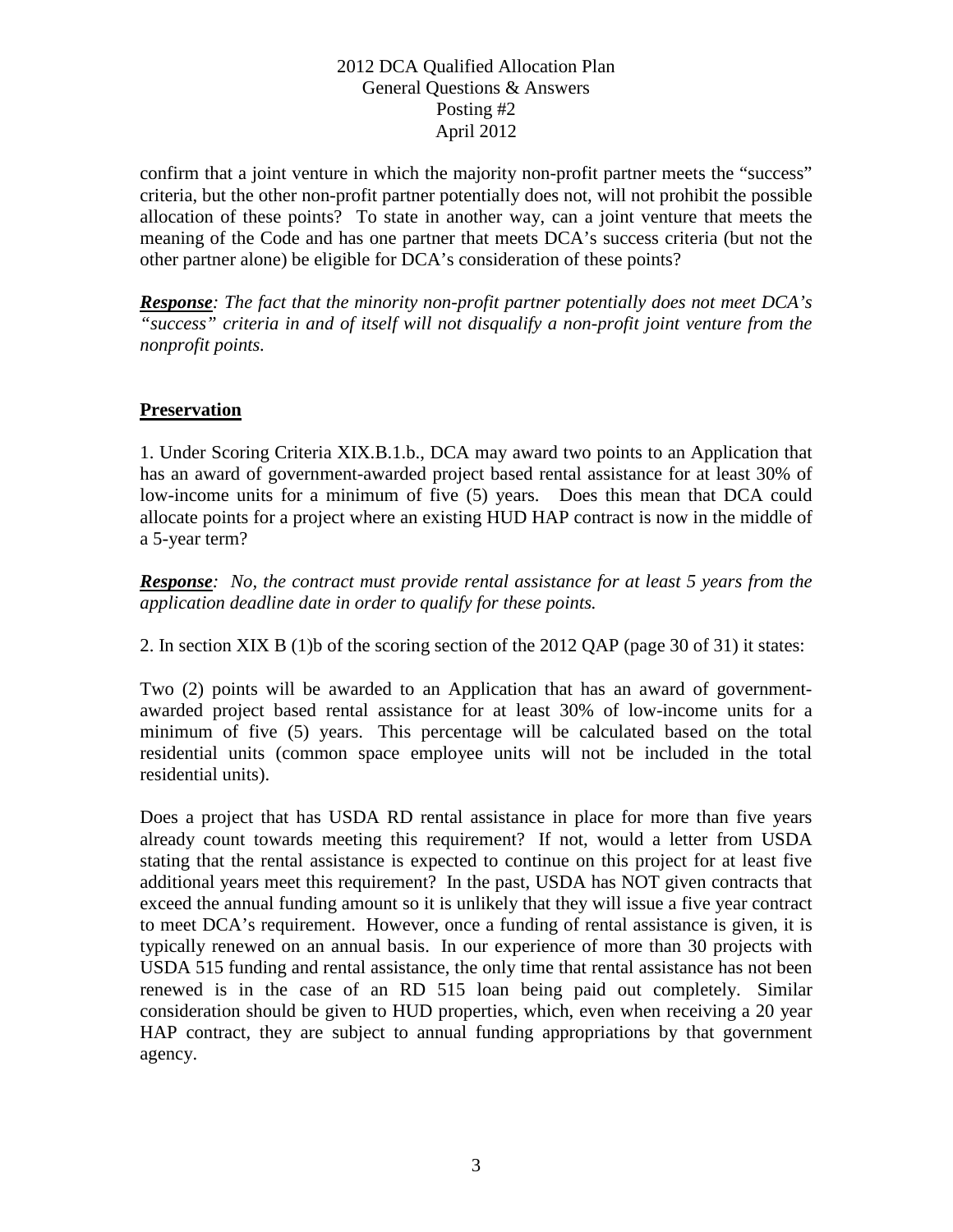confirm that a joint venture in which the majority non-profit partner meets the "success" criteria, but the other non-profit partner potentially does not, will not prohibit the possible allocation of these points? To state in another way, can a joint venture that meets the meaning of the Code and has one partner that meets DCA's success criteria (but not the other partner alone) be eligible for DCA's consideration of these points?

*Response: The fact that the minority non-profit partner potentially does not meet DCA's "success" criteria in and of itself will not disqualify a non-profit joint venture from the nonprofit points.*

# **Preservation**

1. Under Scoring Criteria XIX.B.1.b., DCA may award two points to an Application that has an award of government-awarded project based rental assistance for at least 30% of low-income units for a minimum of five (5) years. Does this mean that DCA could allocate points for a project where an existing HUD HAP contract is now in the middle of a 5-year term?

*Response: No, the contract must provide rental assistance for at least 5 years from the application deadline date in order to qualify for these points.*

2. In section XIX B (1)b of the scoring section of the 2012 QAP (page 30 of 31) it states:

Two (2) points will be awarded to an Application that has an award of governmentawarded project based rental assistance for at least 30% of low-income units for a minimum of five (5) years. This percentage will be calculated based on the total residential units (common space employee units will not be included in the total residential units).

Does a project that has USDA RD rental assistance in place for more than five years already count towards meeting this requirement? If not, would a letter from USDA stating that the rental assistance is expected to continue on this project for at least five additional years meet this requirement? In the past, USDA has NOT given contracts that exceed the annual funding amount so it is unlikely that they will issue a five year contract to meet DCA's requirement. However, once a funding of rental assistance is given, it is typically renewed on an annual basis. In our experience of more than 30 projects with USDA 515 funding and rental assistance, the only time that rental assistance has not been renewed is in the case of an RD 515 loan being paid out completely. Similar consideration should be given to HUD properties, which, even when receiving a 20 year HAP contract, they are subject to annual funding appropriations by that government agency.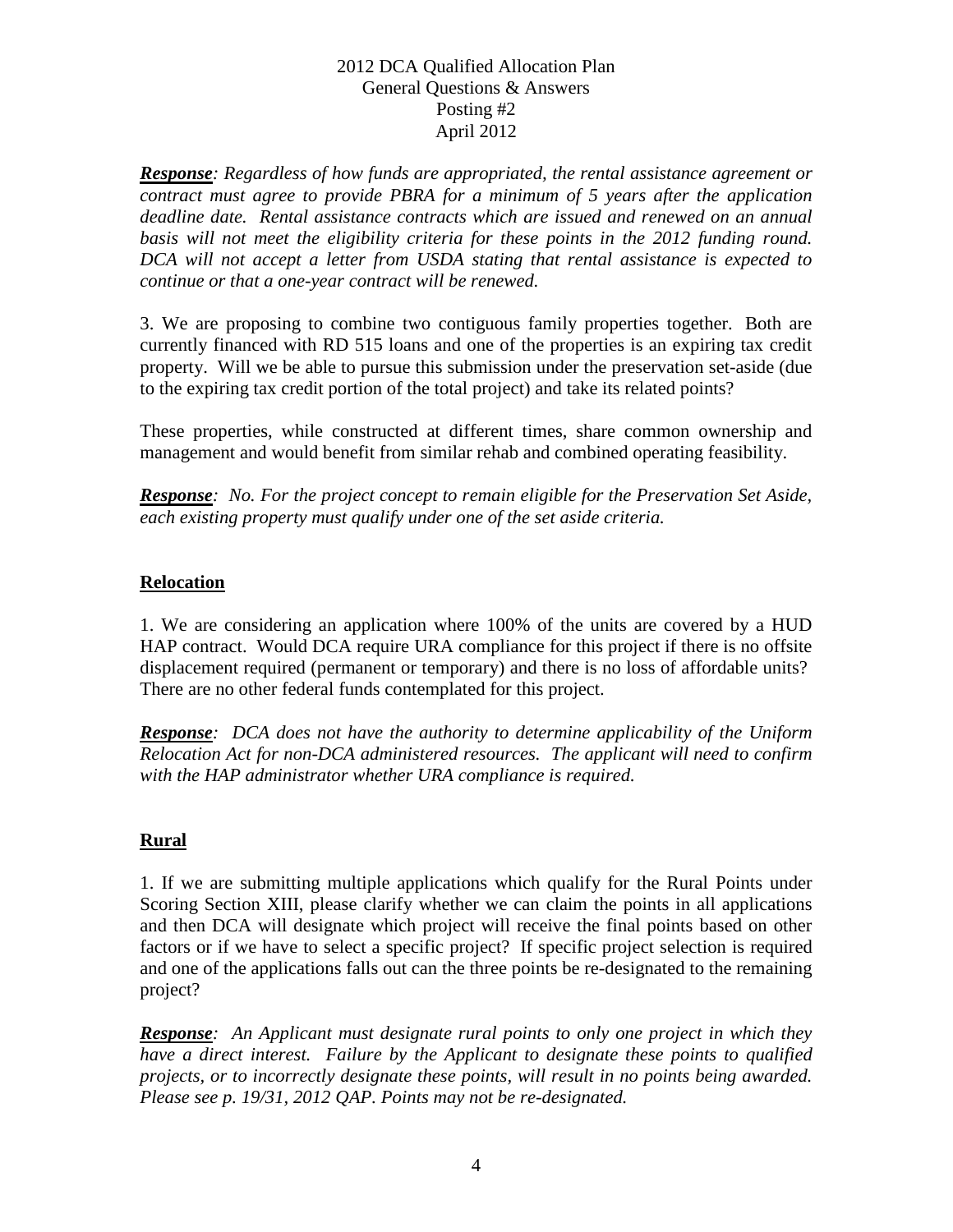*Response: Regardless of how funds are appropriated, the rental assistance agreement or contract must agree to provide PBRA for a minimum of 5 years after the application deadline date. Rental assistance contracts which are issued and renewed on an annual*  basis will not meet the eligibility criteria for these points in the 2012 funding round. *DCA will not accept a letter from USDA stating that rental assistance is expected to continue or that a one-year contract will be renewed.*

3. We are proposing to combine two contiguous family properties together. Both are currently financed with RD 515 loans and one of the properties is an expiring tax credit property. Will we be able to pursue this submission under the preservation set-aside (due to the expiring tax credit portion of the total project) and take its related points?

These properties, while constructed at different times, share common ownership and management and would benefit from similar rehab and combined operating feasibility.

*Response: No. For the project concept to remain eligible for the Preservation Set Aside, each existing property must qualify under one of the set aside criteria.*

# **Relocation**

1. We are considering an application where 100% of the units are covered by a HUD HAP contract. Would DCA require URA compliance for this project if there is no offsite displacement required (permanent or temporary) and there is no loss of affordable units? There are no other federal funds contemplated for this project.

*Response: DCA does not have the authority to determine applicability of the Uniform Relocation Act for non-DCA administered resources. The applicant will need to confirm with the HAP administrator whether URA compliance is required.*

# **Rural**

1. If we are submitting multiple applications which qualify for the Rural Points under Scoring Section XIII, please clarify whether we can claim the points in all applications and then DCA will designate which project will receive the final points based on other factors or if we have to select a specific project? If specific project selection is required and one of the applications falls out can the three points be re-designated to the remaining project?

*Response: An Applicant must designate rural points to only one project in which they have a direct interest. Failure by the Applicant to designate these points to qualified projects, or to incorrectly designate these points, will result in no points being awarded. Please see p. 19/31, 2012 QAP. Points may not be re-designated.*